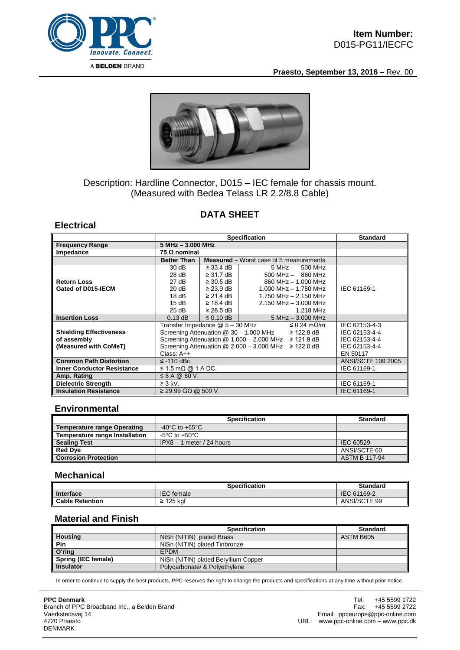

**Praesto, September 13, 2016 –** Rev. 00



# Description: Hardline Connector, D015 – IEC female for chassis mount. (Measured with Bedea Telass LR 2.2/8.8 Cable)

# **DATA SHEET**

### **Electrical**

|                                   | <b>Specification</b>                                        |                            |                                                | <b>Standard</b>           |
|-----------------------------------|-------------------------------------------------------------|----------------------------|------------------------------------------------|---------------------------|
| <b>Frequency Range</b>            |                                                             | $5 MHz - 3.000 MHz$        |                                                |                           |
| Impedance                         | 75 $\Omega$ nominal                                         |                            |                                                |                           |
|                                   | <b>Better Than</b>                                          |                            | <b>Measured</b> – Worst case of 5 measurements |                           |
|                                   | 30 dB                                                       | $\geq$ 33.4 dB             | $5 MHz - 500 MHz$                              |                           |
|                                   | 28 dB                                                       | $\geq$ 31.7 dB             | $500$ MHz $-$ 860 MHz                          |                           |
| <b>Return Loss</b>                | 27 dB                                                       | $\geq 30.5$ dB             | 860 MHz - 1.000 MHz                            |                           |
| Gated of D015-IECM                | 20 dB                                                       | $\geq$ 23.9 dB $\parallel$ | $1.000$ MHz $- 1.750$ MHz                      | IEC 61169-1               |
|                                   | 18dB                                                        | $\geq$ 21.4 dB             | 1.750 MHz - 2.150 MHz                          |                           |
|                                   | 15dB                                                        | $\geq$ 18.4 dB             | $2.150$ MHz $-$ 3.000 MHz                      |                           |
|                                   | 25 dB                                                       | $\geq$ 28.5 dB             | 1.218 MHz                                      |                           |
| <b>Insertion Loss</b>             | $0.13$ dB                                                   | $\leq$ 0.10 dB             | $5 MHz - 3.000 MHz$                            |                           |
|                                   | Transfer Impedance @ 5 - 30 MHz<br>≤ 0.24 mΩ/m              |                            |                                                | IEC 62153-4-3             |
| <b>Shielding Effectiveness</b>    | Screening Attenuation @ 30 - 1.000 MHz<br>$\geq$ 122.8 dB   |                            |                                                | IEC 62153-4-4             |
| of assembly                       | Screening Attenuation $@ 1.000 - 2.000$ MHz $\geq 121.9$ dB |                            |                                                | IEC 62153-4-4             |
| (Measured with CoMeT)             | Screening Attenuation $@ 2.000 - 3.000$ MHz $\geq 122.0$ dB |                            |                                                | IEC 62153-4-4             |
|                                   | Class: $A++$                                                |                            |                                                | EN 50117                  |
| <b>Common Path Distortion</b>     | $\le$ -110 dBc                                              |                            |                                                | <b>ANSI/SCTE 109 2005</b> |
| <b>Inner Conductor Resistance</b> | $\leq$ 1.5 m $\Omega$ @ 1 A DC.                             |                            |                                                | IEC 61169-1               |
| Amp. Rating                       | $\leq$ 8 A @ 60 V.                                          |                            |                                                |                           |
| <b>Dielectric Strength</b>        | $\geq 3$ kV.                                                |                            |                                                | IEC 61169-1               |
| <b>Insulation Resistance</b>      | $≥$ 29.99 GΩ @ 500 V.                                       |                            |                                                | IEC 61169-1               |

#### **Environmental**

|                                    | <b>Specification</b>                 | <b>Standard</b>      |
|------------------------------------|--------------------------------------|----------------------|
| <b>Temperature range Operating</b> | -40 $^{\circ}$ C to +65 $^{\circ}$ C |                      |
| Temperature range Installation     | $-5^{\circ}$ C to $+50^{\circ}$ C    |                      |
| <b>Sealing Test</b>                | $IPX8 - 1$ meter / 24 hours          | IEC 60529            |
| <b>Red Dye</b>                     |                                      | ANSI/SCTE 60         |
| <b>Corrosion Protection</b>        |                                      | <b>ASTM B 117-94</b> |

### **Mechanical**

|                        | <b>Specification</b> | <b>Standard</b> |
|------------------------|----------------------|-----------------|
| Interface              | <b>IEC</b> female    | IEC 61169-2     |
| <b>Cable Retention</b> | 125 kaf<br><u>-</u>  | ANSI/SCTE 99    |

#### **Material and Finish**

|                     | <b>Specification</b>                 | <b>Standard</b> |
|---------------------|--------------------------------------|-----------------|
| <b>Housing</b>      | NiSn (NITIN) plated Brass            | ASTM B605       |
| Pin                 | NiSn (NITIN) plated Tinbronze        |                 |
| O'ring              | <b>EPDM</b>                          |                 |
| Spring (IEC female) | NiSn (NITIN) plated Beryllium Copper |                 |
| <b>Insulator</b>    | Polycarbonate/ & Polyethylene        |                 |

In order to continue to supply the best products, PPC reserves the right to change the products and specifications at any time without prior notice.

**PPC Denmark** Branch of PPC Broadband Inc., a Belden Brand Vaerkstedsvej 14 4720 Praesto DENMARK